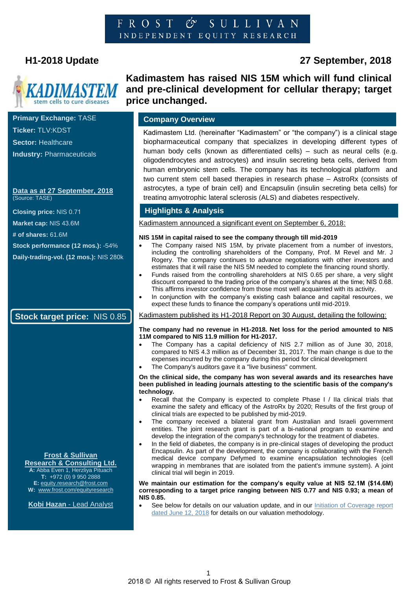#### SULLIVAN FROST  $\mathcal{O}^{\prime}$ INDEPENDENT EQUITY RESEARCH



**Primary Exchange:** TASE **Ticker:** TLV:KDST **Sector:** Healthcare **Industry:** Pharmaceuticals

#### **Data as at 27 September, 2018**  (Source: TASE)

**Closing price:** NIS 0.71

**Market cap:** NIS 43.6M

**# of shares:** 61.6M

**Stock performance (12 mos.):** -54%

**Daily-trading-vol. (12 mos.):** NIS 280k

### **Stock target price:** NIS 0.85

#### **Frost & Sullivan Research & Consulting Ltd.**

**A:** Abba Even 1, Herzliya Pituach **T:** +972 (0) 9 950 2888 **E[:](mailto:equity.research@frost.com)** [equity.research@frost.com](mailto:equity.research@frost.com) **W:** [www.frost.com/equityresearch](http://www.frost.com/equityresearch)

**Kobi Hazan** - Lead Analyst

# **Kadimastem has raised NIS 15M which will fund clinical and pre-clinical development for cellular therapy; target price unchanged.**

### **Company Overview**

Kadimastem Ltd. (hereinafter "Kadimastem" or "the company") is a clinical stage biopharmaceutical company that specializes in developing different types of human body cells (known as differentiated cells) – such as neural cells (e.g. oligodendrocytes and astrocytes) and insulin secreting beta cells, derived from human embryonic stem cells. The company has its technological platform and two current stem cell based therapies in research phase – AstroRx (consists of astrocytes, a type of brain cell) and Encapsulin (insulin secreting beta cells) for treating amyotrophic lateral sclerosis (ALS) and diabetes respectively.

### **Highlights & Analysis**

Kadimastem announced a significant event on September 6, 2018:

#### **NIS 15M in capital raised to see the company through till mid-2019**

- The Company raised NIS 15M, by private placement from a number of investors, including the controlling shareholders of the Company, Prof. M Revel and Mr. J Rogery. The company continues to advance negotiations with other investors and estimates that it will raise the NIS 5M needed to complete the financing round shortly.
- Funds raised from the controlling shareholders at NIS 0.65 per share, a very slight discount compared to the trading price of the company's shares at the time; NIS 0.68. This affirms investor confidence from those most well acquainted with its activity.
- In conjunction with the company's existing cash balance and capital resources, we expect these funds to finance the company's operations until mid-2019.

#### Kadimastem published its H1-2018 Report on 30 August, detailing the following:

#### **The company had no revenue in H1-2018. Net loss for the period amounted to NIS 11M compared to NIS 11.9 million for H1-2017.**

- The Company has a capital deficiency of NIS 2.7 million as of June 30, 2018, compared to NIS 4.3 million as of December 31, 2017. The main change is due to the expenses incurred by the company during this period for clinical development
- The Company's auditors gave it a "live business" comment.

#### **On the clinical side, the company has won several awards and its researches have been published in leading journals attesting to the scientific basis of the company's technology.**

- Recall that the Company is expected to complete Phase I / IIa clinical trials that examine the safety and efficacy of the AstroRx by 2020; Results of the first group of clinical trials are expected to be published by mid-2019.
- The company received a bilateral grant from Australian and Israeli government entities. The joint research grant is part of a bi-national program to examine and develop the integration of the company's technology for the treatment of diabetes.
- In the field of diabetes, the company is in pre-clinical stages of developing the product Encapsulin. As part of the development, the company is collaborating with the French medical device company Defymed to examine encapsulation technologies (cell wrapping in membranes that are isolated from the patient's immune system). A joint clinical trial will begin in 2019.

#### **We maintain our estimation for the company's equity value at NIS 52.1M (\$14.6M) corresponding to a target price ranging between NIS 0.77 and NIS 0.93; a mean of NIS 0.85.**

See below for details on our valuation update, and in our Initiation of Coverage report [dated June 12, 2018](https://ww2.frost.com/research/equity-research/kadimastem-ltd/) for details on our valuation methodology.

# **H1-2018 Update 27 September, 2018**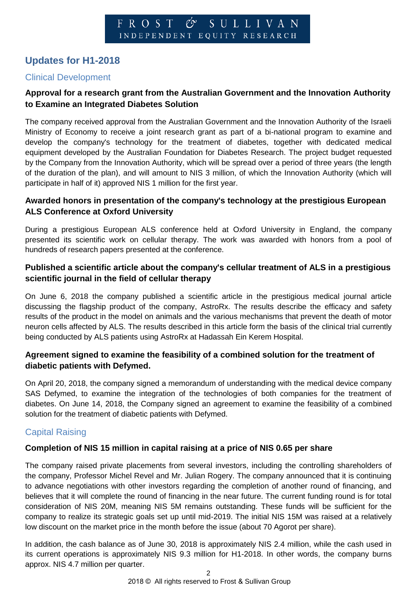# **Updates for H1-2018**

### Clinical Development

### **Approval for a research grant from the Australian Government and the Innovation Authority to Examine an Integrated Diabetes Solution**

The company received approval from the Australian Government and the Innovation Authority of the Israeli Ministry of Economy to receive a joint research grant as part of a bi-national program to examine and develop the company's technology for the treatment of diabetes, together with dedicated medical equipment developed by the Australian Foundation for Diabetes Research. The project budget requested by the Company from the Innovation Authority, which will be spread over a period of three years (the length of the duration of the plan), and will amount to NIS 3 million, of which the Innovation Authority (which will participate in half of it) approved NIS 1 million for the first year.

### **Awarded honors in presentation of the company's technology at the prestigious European ALS Conference at Oxford University**

During a prestigious European ALS conference held at Oxford University in England, the company presented its scientific work on cellular therapy. The work was awarded with honors from a pool of hundreds of research papers presented at the conference.

### **Published a scientific article about the company's cellular treatment of ALS in a prestigious scientific journal in the field of cellular therapy**

On June 6, 2018 the company published a scientific article in the prestigious medical journal article discussing the flagship product of the company, AstroRx. The results describe the efficacy and safety results of the product in the model on animals and the various mechanisms that prevent the death of motor neuron cells affected by ALS. The results described in this article form the basis of the clinical trial currently being conducted by ALS patients using AstroRx at Hadassah Ein Kerem Hospital.

### **Agreement signed to examine the feasibility of a combined solution for the treatment of diabetic patients with Defymed.**

On April 20, 2018, the company signed a memorandum of understanding with the medical device company SAS Defymed, to examine the integration of the technologies of both companies for the treatment of diabetes. On June 14, 2018, the Company signed an agreement to examine the feasibility of a combined solution for the treatment of diabetic patients with Defymed.

## Capital Raising

### **Completion of NIS 15 million in capital raising at a price of NIS 0.65 per share**

The company raised private placements from several investors, including the controlling shareholders of the company, Professor Michel Revel and Mr. Julian Rogery. The company announced that it is continuing to advance negotiations with other investors regarding the completion of another round of financing, and believes that it will complete the round of financing in the near future. The current funding round is for total consideration of NIS 20M, meaning NIS 5M remains outstanding. These funds will be sufficient for the company to realize its strategic goals set up until mid-2019. The initial NIS 15M was raised at a relatively low discount on the market price in the month before the issue (about 70 Agorot per share).

In addition, the cash balance as of June 30, 2018 is approximately NIS 2.4 million, while the cash used in its current operations is approximately NIS 9.3 million for H1-2018. In other words, the company burns approx. NIS 4.7 million per quarter.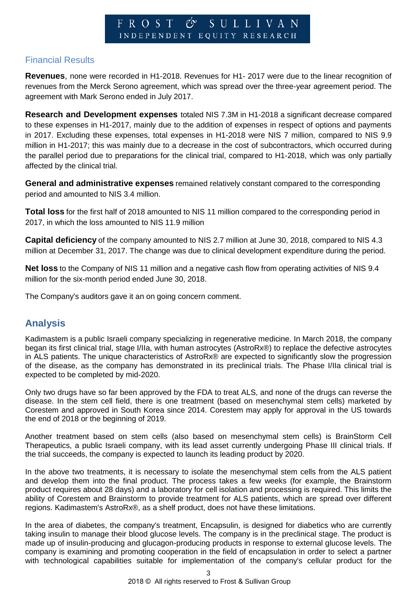# Financial Results

**Revenues**, none were recorded in H1-2018. Revenues for H1- 2017 were due to the linear recognition of revenues from the Merck Serono agreement, which was spread over the three-year agreement period. The agreement with Mark Serono ended in July 2017.

**Research and Development expenses** totaled NIS 7.3M in H1-2018 a significant decrease compared to these expenses in H1-2017, mainly due to the addition of expenses in respect of options and payments in 2017. Excluding these expenses, total expenses in H1-2018 were NIS 7 million, compared to NIS 9.9 million in H1-2017; this was mainly due to a decrease in the cost of subcontractors, which occurred during the parallel period due to preparations for the clinical trial, compared to H1-2018, which was only partially affected by the clinical trial.

**General and administrative expenses** remained relatively constant compared to the corresponding period and amounted to NIS 3.4 million.

**Total loss** for the first half of 2018 amounted to NIS 11 million compared to the corresponding period in 2017, in which the loss amounted to NIS 11.9 million

**Capital deficiency** of the company amounted to NIS 2.7 million at June 30, 2018, compared to NIS 4.3 million at December 31, 2017. The change was due to clinical development expenditure during the period.

**Net loss** to the Company of NIS 11 million and a negative cash flow from operating activities of NIS 9.4 million for the six-month period ended June 30, 2018.

The Company's auditors gave it an on going concern comment.

# **Analysis**

Kadimastem is a public Israeli company specializing in regenerative medicine. In March 2018, the company began its first clinical trial, stage I/IIa, with human astrocytes (AstroRx®) to replace the defective astrocytes in ALS patients. The unique characteristics of AstroRx® are expected to significantly slow the progression of the disease, as the company has demonstrated in its preclinical trials. The Phase I/IIa clinical trial is expected to be completed by mid-2020.

Only two drugs have so far been approved by the FDA to treat ALS, and none of the drugs can reverse the disease. In the stem cell field, there is one treatment (based on mesenchymal stem cells) marketed by Corestem and approved in South Korea since 2014. Corestem may apply for approval in the US towards the end of 2018 or the beginning of 2019.

Another treatment based on stem cells (also based on mesenchymal stem cells) is BrainStorm Cell Therapeutics, a public Israeli company, with its lead asset currently undergoing Phase III clinical trials. If the trial succeeds, the company is expected to launch its leading product by 2020.

In the above two treatments, it is necessary to isolate the mesenchymal stem cells from the ALS patient and develop them into the final product. The process takes a few weeks (for example, the Brainstorm product requires about 28 days) and a laboratory for cell isolation and processing is required. This limits the ability of Corestem and Brainstorm to provide treatment for ALS patients, which are spread over different regions. Kadimastem's AstroRx®, as a shelf product, does not have these limitations.

In the area of diabetes, the company's treatment, Encapsulin, is designed for diabetics who are currently taking insulin to manage their blood glucose levels. The company is in the preclinical stage. The product is made up of insulin-producing and glucagon-producing products in response to external glucose levels. The company is examining and promoting cooperation in the field of encapsulation in order to select a partner with technological capabilities suitable for implementation of the company's cellular product for the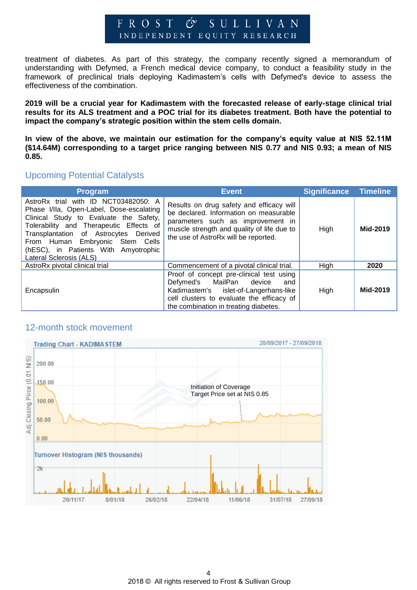#### $F R O S T C$ SULLIVAN INDEPENDENT EQUITY RESEARCH

treatment of diabetes. As part of this strategy, the company recently signed a memorandum of understanding with Defymed, a French medical device company, to conduct a feasibility study in the framework of preclinical trials deploying Kadimastem's cells with Defymed's device to assess the effectiveness of the combination.

**2019 will be a crucial year for Kadimastem with the forecasted release of early-stage clinical trial results for its ALS treatment and a POC trial for its diabetes treatment. Both have the potential to impact the company's strategic position within the stem cells domain.** 

**In view of the above, we maintain our estimation for the company's equity value at NIS 52.11M (\$14.64M) corresponding to a target price ranging between NIS 0.77 and NIS 0.93; a mean of NIS 0.85.**

### Upcoming Potential Catalysts

| <b>Program</b>                                                                                                                                                                                                                                                                                                       | <b>Event</b>                                                                                                                                                                                                  | Significance Timeline |          |
|----------------------------------------------------------------------------------------------------------------------------------------------------------------------------------------------------------------------------------------------------------------------------------------------------------------------|---------------------------------------------------------------------------------------------------------------------------------------------------------------------------------------------------------------|-----------------------|----------|
| AstroRx trial with ID NCT03482050: A<br>Phase I/IIa, Open-Label, Dose-escalating<br>Clinical Study to Evaluate the Safety,<br>Tolerability and Therapeutic Effects of<br>Transplantation of Astrocytes Derived<br>From Human Embryonic Stem Cells<br>(hESC), in Patients With Amyotrophic<br>Lateral Sclerosis (ALS) | Results on drug safety and efficacy will<br>be declared. Information on measurable<br>parameters such as improvement in<br>muscle strength and quality of life due to<br>the use of AstroRx will be reported. | High                  | Mid-2019 |
| AstroRx pivotal clinical trial                                                                                                                                                                                                                                                                                       | Commencement of a pivotal clinical trial.                                                                                                                                                                     | High                  | 2020     |
| Encapsulin                                                                                                                                                                                                                                                                                                           | Proof of concept pre-clinical test using<br>Defymed's MailPan device<br>and<br>Kadimastem's islet-of-Langerhans-like<br>cell clusters to evaluate the efficacy of<br>the combination in treating diabetes.    | High                  | Mid-2019 |

### 12-month stock movement

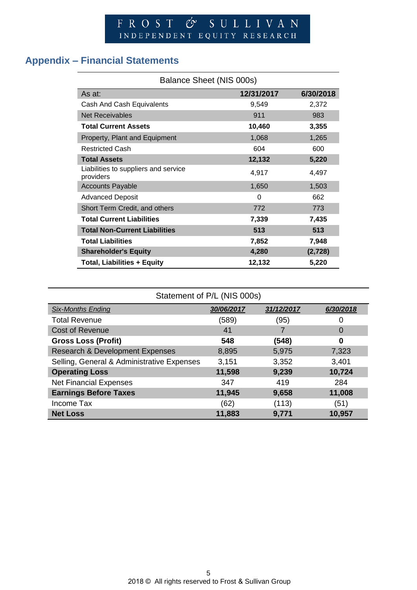# **Appendix – Financial Statements**

| Balance Sheet (NIS 000s)                          |            |           |  |  |
|---------------------------------------------------|------------|-----------|--|--|
| As at:                                            | 12/31/2017 | 6/30/2018 |  |  |
| Cash And Cash Equivalents                         | 9,549      | 2,372     |  |  |
| <b>Net Receivables</b>                            | 911        | 983       |  |  |
| <b>Total Current Assets</b>                       | 10,460     | 3,355     |  |  |
| Property, Plant and Equipment                     | 1,068      | 1,265     |  |  |
| <b>Restricted Cash</b>                            | 604        | 600       |  |  |
| <b>Total Assets</b>                               | 12,132     | 5,220     |  |  |
| Liabilities to suppliers and service<br>providers | 4,917      | 4,497     |  |  |
| <b>Accounts Payable</b>                           | 1,650      | 1,503     |  |  |
| <b>Advanced Deposit</b>                           | 0          | 662       |  |  |
| Short Term Credit, and others                     | 772        | 773       |  |  |
| <b>Total Current Liabilities</b>                  | 7,339      | 7,435     |  |  |
| <b>Total Non-Current Liabilities</b>              | 513        | 513       |  |  |
| <b>Total Liabilities</b>                          | 7,852      | 7,948     |  |  |
| <b>Shareholder's Equity</b>                       | 4,280      | (2,728)   |  |  |
| <b>Total, Liabilities + Equity</b>                | 12,132     | 5,220     |  |  |

| Statement of P/L (NIS 000s)                |            |            |           |  |  |
|--------------------------------------------|------------|------------|-----------|--|--|
| <b>Six-Months Ending</b>                   | 30/06/2017 | 31/12/2017 | 6/30/2018 |  |  |
| <b>Total Revenue</b>                       | (589)      | (95)       | 0         |  |  |
| <b>Cost of Revenue</b>                     | 41         |            | 0         |  |  |
| <b>Gross Loss (Profit)</b>                 | 548        | (548)      | 0         |  |  |
| <b>Research &amp; Development Expenses</b> | 8,895      | 5,975      | 7,323     |  |  |
| Selling, General & Administrative Expenses | 3,151      | 3,352      | 3,401     |  |  |
| <b>Operating Loss</b>                      | 11,598     | 9,239      | 10,724    |  |  |
| <b>Net Financial Expenses</b>              | 347        | 419        | 284       |  |  |
| <b>Earnings Before Taxes</b>               | 11,945     | 9,658      | 11,008    |  |  |
| Income Tax                                 | (62)       | (113)      | (51)      |  |  |
| <b>Net Loss</b>                            | 11,883     | 9,771      | 10,957    |  |  |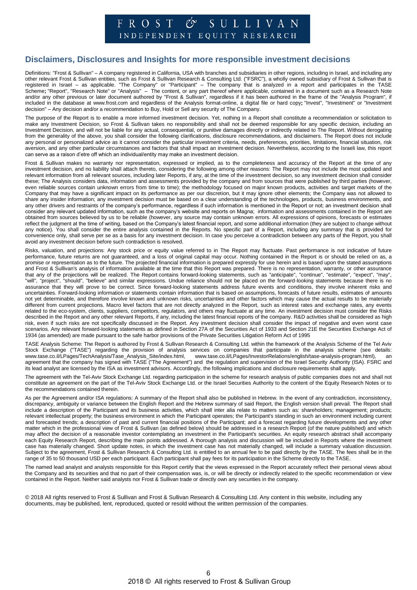#### $F R O S T C$ SULLIVAN

INDEPENDENT EQUITY RESEARCH

### **Disclaimers, Disclosures and Insights for more responsible investment decisions**

Definitions: "Frost & Sullivan" – A company registered in California, USA with branches and subsidiaries in other regions, including in Israel, and including any other relevant Frost & Sullivan entities, such as Frost & Sullivan Research & Consulting Ltd. ("FSRC"), a wholly owned subsidiary of Frost & Sullivan that is registered in Israel – as applicable. "The Company" or "Participant" – The company that is analyzed in a report and participates in the TASE Scheme**;** "Report", "Research Note" or "Analysis" – The content, or any part thereof where applicable, contained in a document such as a Research Note and/or any other previous or later document authored by "Frost & Sullivan", regardless if it has been authored in the frame of the "Analysis Program", if included in the database at www.frost.com and regardless of the Analysis format-online, a digital file or hard copy; "Invest", "Investment" or "Investment decision" – Any decision and/or a recommendation to Buy, Hold or Sell any security of The Company.

The purpose of the Report is to enable a more informed investment decision. Yet, nothing in a Report shall constitute a recommendation or solicitation to make any Investment Decision, so Frost & Sullivan takes no responsibility and shall not be deemed responsible for any specific decision, including an Investment Decision, and will not be liable for any actual, consequential, or punitive damages directly or indirectly related to The Report. Without derogating from the generality of the above, you shall consider the following clarifications, disclosure recommendations, and disclaimers. The Report does not include any personal or personalized advice as it cannot consider the particular investment criteria, needs, preferences, priorities, limitations, financial situation, risk aversion, and any other particular circumstances and factors that shall impact an investment decision. Nevertheless, according to the Israeli law, this report can serve as a raison d'etre off which an individual/entity may make an investment decision.

Frost & Sullivan makes no warranty nor representation, expressed or implied, as to the completeness and accuracy of the Report at the time of any investment decision, and no liability shall attach thereto, considering the following among other reasons: The Report may not include the most updated and relevant information from all relevant sources, including later Reports, if any, at the time of the investment decision, so any investment decision shall consider these; The Analysis considers data, information and assessments provided by the company and from sources that were published by third parties (however, even reliable sources contain unknown errors from time to time); the methodology focused on major known products, activities and target markets of the Company that may have a significant impact on its performance as per our discretion, but it may ignore other elements; the Company was not allowed to share any insider information; any investment decision must be based on a clear understanding of the technologies, products, business environments, and any other drivers and restraints of the company's performance, regardless if such information is mentioned in the Report or not; an investment decision shall consider any relevant updated information, such as the company's website and reports on Magna; information and assessments contained in the Report are obtained from sources believed by us to be reliable (however, any source may contain unknown errors. All expressions of opinions, forecasts or estimates reflect the judgment at the time of writing, based on the Company's latest financial report, and some additional information (they are subject to change without any notice). You shall consider the entire analysis contained in the Reports. No specific part of a Report, including any summary that is provided for convenience only, shall serve per se as a basis for any investment decision. In case you perceive a contradiction between any parts of the Report, you shall avoid any investment decision before such contradiction is resolved.

Risks, valuation, and projections: Any stock price or equity value referred to in The Report may fluctuate. Past performance is not indicative of future performance, future returns are not guaranteed, and a loss of original capital may occur. Nothing contained in the Report is or should be relied on as, a promise or representation as to the future. The projected financial information is prepared expressly for use herein and is based upon the stated assumptions and Frost & Sullivan's analysis of information available at the time that this Report was prepared. There is no representation, warranty, or other assurance that any of the projections will be realized. The Report contains forward-looking statements, such as "anticipate", "continue", "estimate", "expect", "may", "will", "project", "should", "believe" and similar expressions. Undue reliance should not be placed on the forward-looking statements because there is no assurance that they will prove to be correct. Since forward-looking statements address future events and conditions, they involve inherent risks and uncertainties. Forward-looking information or statements contain information that is based on assumptions, forecasts of future results, estimates of amounts not yet determinable, and therefore involve known and unknown risks, uncertainties and other factors which may cause the actual results to be materially different from current projections. Macro level factors that are not directly analyzed in the Report, such as interest rates and exchange rates, any events related to the eco-system, clients, suppliers, competitors, regulators, and others may fluctuate at any time. An investment decision must consider the Risks described in the Report and any other relevant Reports, if any, including the latest financial reports of the company. R&D activities shall be considered as high risk, even if such risks are not specifically discussed in the Report. Any investment decision shall consider the impact of negative and even worst case scenarios. Any relevant forward-looking statements as defined in Section 27A of the Securities Act of 1933 and Section 21E the Securities Exchange Act of 1934 (as amended) are made pursuant to the safe harbor provisions of the Private Securities Litigation Reform Act of 1995

TASE Analysis Scheme: The Report is authored by Frost & Sullivan Research & Consulting Ltd. within the framework of the Analysis Scheme of the Tel Aviv Stock Exchange ("TASE") regarding the provision of analysis services on companies that participate in the analysis scheme (see details:<br>www.tase.co.il/LPages/TechAnalysis/Tase\_Analysis\_Site/index.html, www.tase.co.il/LPage [www.tase.co.il/LPages/InvestorRelations/english/tase-analysis-program.html\),](http://www.tase.co.il/LPages/InvestorRelations/english/tase-analysis-program.html) an agreement that the company has signed with TASE ("The Agreement") and the regulation and supervision of the Israel Security Authority (ISA). FSRC and its lead analyst are licensed by the ISA as investment advisors. Accordingly, the following implications and disclosure requirements shall apply.

The agreement with the Tel-Aviv Stock Exchange Ltd. regarding participation in the scheme for research analysis of public companies does not and shall not constitute an agreement on the part of the Tel-Aviv Stock Exchange Ltd. or the Israel Securities Authority to the content of the Equity Research Notes or to the recommendations contained therein.

As per the Agreement and/or ISA regulations: A summary of the Report shall also be published in Hebrew. In the event of any contradiction, inconsistency, discrepancy, ambiguity or variance between the English Report and the Hebrew summary of said Report, the English version shall prevail. The Report shall include a description of the Participant and its business activities, which shall inter alia relate to matters such as: shareholders; management; products; relevant intellectual property; the business environment in which the Participant operates; the Participant's standing in such an environment including current and forecasted trends; a description of past and current financial positions of the Participant; and a forecast regarding future developments and any other matter which in the professional view of Frost & Sullivan (as defined below) should be addressed in a research Report (of the nature published) and which may affect the decision of a reasonable investor contemplating an investment in the Participant's securities. An equity research abstract shall accompany each Equity Research Report, describing the main points addressed. A thorough analysis and discussion will be included in Reports where the investment case has materially changed. Short update notes, in which the investment case has not materially changed, will include a summary valuation discussion. Subject to the agreement, Frost & Sullivan Research & Consulting Ltd. is entitled to an annual fee to be paid directly by the TASE. The fees shall be in the range of 35 to 50 thousand USD per each participant. Each participant shall pay fees for its participation in the Scheme directly to the TASE.

The named lead analyst and analysts responsible for this Report certify that the views expressed in the Report accurately reflect their personal views about the Company and its securities and that no part of their compensation was, is, or will be directly or indirectly related to the specific recommendation or view contained in the Report. Neither said analysts nor Frost & Sullivan trade or directly own any securities in the company.

© 2018 All rights reserved to Frost & Sullivan and Frost & Sullivan Research & Consulting Ltd. Any content in this website, including any documents, may be published, lent, reproduced, quoted or resold without the written permission of the companies.